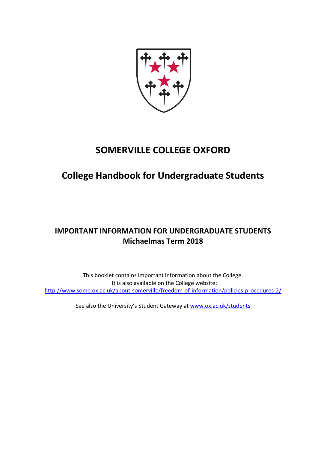

# **SOMERVILLE COLLEGE OXFORD**

# **College Handbook for Undergraduate Students**

# **IMPORTANT INFORMATION FOR UNDERGRADUATE STUDENTS Michaelmas Term 2018**

This booklet contains important information about the College. It is also available on the College website: http://www.some.ox.ac.uk/about-somerville/freedom-of-information/policies-procedures-2/

See also the University's Student Gateway at www.ox.ac.uk/students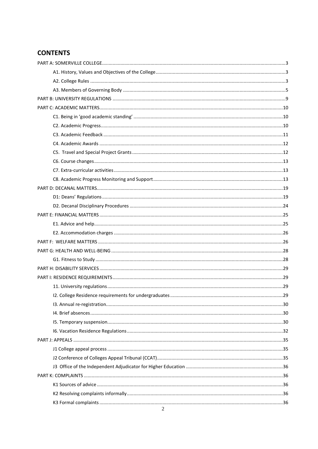## **CONTENTS**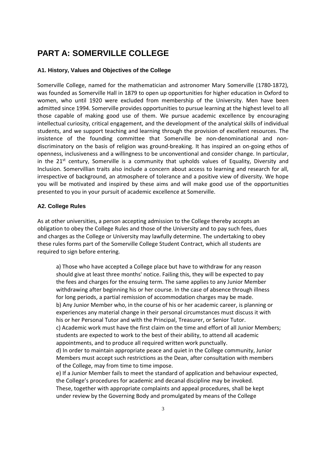# **PART A: SOMERVILLE COLLEGE**

#### **A1. History, Values and Objectives of the College**

Somerville College, named for the mathematician and astronomer Mary Somerville (1780-1872), was founded as Somerville Hall in 1879 to open up opportunities for higher education in Oxford to women, who until 1920 were excluded from membership of the University. Men have been admitted since 1994. Somerville provides opportunities to pursue learning at the highest level to all those capable of making good use of them. We pursue academic excellence by encouraging intellectual curiosity, critical engagement, and the development of the analytical skills of individual students, and we support teaching and learning through the provision of excellent resources. The insistence of the founding committee that Somerville be non-denominational and nondiscriminatory on the basis of religion was ground-breaking. It has inspired an on-going ethos of openness, inclusiveness and a willingness to be unconventional and consider change. In particular, in the  $21^{st}$  century, Somerville is a community that upholds values of Equality, Diversity and Inclusion. Somervillian traits also include a concern about access to learning and research for all, irrespective of background, an atmosphere of tolerance and a positive view of diversity. We hope you will be motivated and inspired by these aims and will make good use of the opportunities presented to you in your pursuit of academic excellence at Somerville.

#### **A2. College Rules**

As at other universities, a person accepting admission to the College thereby accepts an obligation to obey the College Rules and those of the University and to pay such fees, dues and charges as the College or University may lawfully determine. The undertaking to obey these rules forms part of the Somerville College Student Contract, which all students are required to sign before entering.

a) Those who have accepted a College place but have to withdraw for any reason should give at least three months' notice. Failing this, they will be expected to pay the fees and charges for the ensuing term. The same applies to any Junior Member withdrawing after beginning his or her course. In the case of absence through illness for long periods, a partial remission of accommodation charges may be made. b) Any Junior Member who, in the course of his or her academic career, is planning or experiences any material change in their personal circumstances must discuss it with his or her Personal Tutor and with the Principal, Treasurer, or Senior Tutor. c) Academic work must have the first claim on the time and effort of all Junior Members; students are expected to work to the best of their ability, to attend all academic appointments, and to produce all required written work punctually.

d) In order to maintain appropriate peace and quiet in the College community, Junior Members must accept such restrictions as the Dean, after consultation with members of the College, may from time to time impose.

e) If a Junior Member fails to meet the standard of application and behaviour expected, the College's procedures for academic and decanal discipline may be invoked. These, together with appropriate complaints and appeal procedures, shall be kept under review by the Governing Body and promulgated by means of the College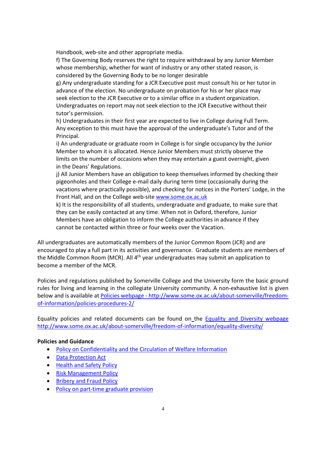Handbook, web-site and other appropriate media.

f) The Governing Body reserves the right to require withdrawal by any Junior Member whose membership, whether for want of industry or any other stated reason, is considered by the Governing Body to be no longer desirable

g) Any undergraduate standing for a JCR Executive post must consult his or her tutor in advance of the election. No undergraduate on probation for his or her place may seek election to the JCR Executive or to a similar office in a student organization. Undergraduates on report may not seek election to the JCR Executive without their tutor's permission.

h) Undergraduates in their first year are expected to live in College during Full Term. Any exception to this must have the approval of the undergraduate's Tutor and of the Principal.

i) An undergraduate or graduate room in College is for single occupancy by the Junior Member to whom it is allocated. Hence Junior Members must strictly observe the limits on the number of occasions when they may entertain a guest overnight, given in the Deans' Regulations.

j) All Junior Members have an obligation to keep themselves informed by checking their pigeonholes and their College e-mail daily during term time (occasionally during the vacations where practically possible), and checking for notices in the Porters' Lodge, in the Front Hall, and on the College web-site www.some.ox.ac.uk

k) It is the responsibility of all students, undergraduate and graduate, to make sure that they can be easily contacted at any time. When not in Oxford, therefore, Junior Members have an obligation to inform the College authorities in advance if they cannot be contacted within three or four weeks over the Vacation.

All undergraduates are automatically members of the Junior Common Room (JCR) and are encouraged to play a full part in its activities and governance. Graduate students are members of the Middle Common Room (MCR). All 4<sup>th</sup> year undergraduates may submit an application to become a member of the MCR.

Policies and regulations published by Somerville College and the University form the basic ground rules for living and learning in the collegiate University community. A non-exhaustive list is given below and is available at Policies webpage - http://www.some.ox.ac.uk/about-somerville/freedomof-information/policies-procedures-2/

Equality policies and related documents can be found on the Equality and Diversity webpage http://www.some.ox.ac.uk/about-somerville/freedom-of-information/equality-diversity/

#### **Policies and Guidance**

- Policy on Confidentiality and the Circulation of Welfare Information
- Data Protection Act
- Health and Safety Policy
- Risk Management Policy
- **Bribery and Fraud Policy**
- Policy on part-time graduate provision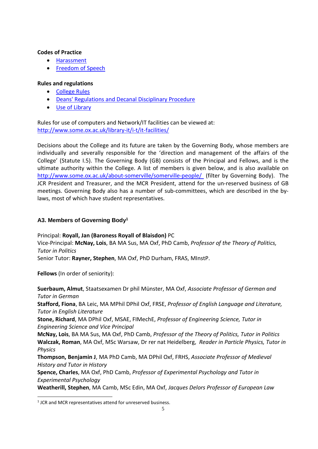#### **Codes of Practice**

- Harassment
- Freedom of Speech

#### **Rules and regulations**

- College Rules
- Deans' Regulations and Decanal Disciplinary Procedure
- Use of Library

Rules for use of computers and Network/IT facilities can be viewed at: http://www.some.ox.ac.uk/library-it/i-t/it-facilities/

Decisions about the College and its future are taken by the Governing Body, whose members are individually and severally responsible for the 'direction and management of the affairs of the College' (Statute I.5). The Governing Body (GB) consists of the Principal and Fellows, and is the ultimate authority within the College. A list of members is given below, and is also available on http://www.some.ox.ac.uk/about-somerville/somerville-people/ (filter by Governing Body). The JCR President and Treasurer, and the MCR President, attend for the un-reserved business of GB meetings. Governing Body also has a number of sub-committees, which are described in the bylaws, most of which have student representatives.

### **A3. Members of Governing Body<sup>1</sup>**

Principal: **Royall, Jan (Baroness Royall of Blaisdon)** PC Vice-Principal: **McNay, Lois**, BA MA Sus, MA Oxf, PhD Camb, *Professor of the Theory of Politics, Tutor in Politics* 

Senior Tutor: **Rayner, Stephen**, MA Oxf, PhD Durham, FRAS, MInstP.

**Fellows** (In order of seniority):

**Suerbaum, Almut**, Staatsexamen Dr phil Münster, MA Oxf, *Associate Professor of German and Tutor in German* 

**Stafford, Fiona**, BA Leic, MA MPhil DPhil Oxf, FRSE, *Professor of English Language and Literature, Tutor in English Literature* 

**Stone, Richard**, MA DPhil Oxf, MSAE, FIMechE, *Professor of Engineering Science, Tutor in Engineering Science and Vice Principal* 

**McNay, Lois**, BA MA Sus, MA Oxf, PhD Camb, *Professor of the Theory of Politics, Tutor in Politics*  **Walczak, Roman**, MA Oxf, MSc Warsaw, Dr rer nat Heidelberg, *Reader in Particle Physics, Tutor in Physics* 

**Thompson, Benjamin J**, MA PhD Camb, MA DPhil Oxf, FRHS, *Associate Professor of Medieval History and Tutor in History* 

**Spence, Charles**, MA Oxf, PhD Camb, *Professor of Experimental Psychology and Tutor in Experimental Psychology* 

**Weatherill, Stephen**, MA Camb, MSc Edin, MA Oxf, *Jacques Delors Professor of European Law* 

<sup>&</sup>lt;sup>1</sup> JCR and MCR representatives attend for unreserved business.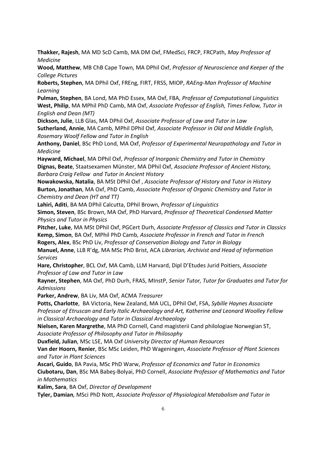**Thakker, Rajesh**, MA MD ScD Camb, MA DM Oxf, FMedSci, FRCP, FRCPath, *May Professor of Medicine* 

**Wood, Matthew**, MB ChB Cape Town, MA DPhil Oxf, *Professor of Neuroscience and Keeper of the College Pictures*

**Roberts, Stephen**, MA DPhil Oxf, FREng, FIRT, FRSS, MIOP, *RAEng-Man Professor of Machine Learning* 

**Pulman, Stephen**, BA Lond, MA PhD Essex, MA Oxf, FBA, *Professor of Computational Linguistics* **West, Philip**, MA MPhil PhD Camb, MA Oxf, *Associate Professor of English, Times Fellow, Tutor in English and Dean (MT)*

**Dickson, Julie**, LLB Glas, MA DPhil Oxf, *Associate Professor of Law and Tutor in Law* **Sutherland, Annie**, MA Camb, MPhil DPhil Oxf, *Associate Professor in Old and Middle English, Rosemary Woolf Fellow and Tutor in English*

**Anthony, Daniel**, BSc PhD Lond, MA Oxf, *Professor of Experimental Neuropathology and Tutor in Medicine* 

**Hayward, Michael**, MA DPhil Oxf, *Professor of Inorganic Chemistry and Tutor in Chemistry* **Dignas, Beate**, Staatsexamen Münster, MA DPhil Oxf, *Associate Professor of Ancient History, Barbara Craig Fellow and Tutor in Ancient History*

**Nowakowska, Natalia**, BA MSt DPhil Oxf , *Associate Professor of History and Tutor in History*  **Burton, Jonathan**, MA Oxf, PhD Camb, *Associate Professor of Organic Chemistry and Tutor in Chemistry and Dean (HT and TT)* 

**Lahiri, Aditi**, BA MA DPhil Calcutta, DPhil Brown, *Professor of Linguistics* 

**Simon, Steven**, BSc Brown, MA Oxf, PhD Harvard, *Professor of Theoretical Condensed Matter Physics and Tutor in Physics*

**Pitcher, Luke**, MA MSt DPhil Oxf, PGCert Durh, *Associate Professor of Classics and Tutor in Classics*  **Kemp, Simon**, BA Oxf, MPhil PhD Camb, *Associate Professor in French and Tutor in French*  **Rogers, Alex**, BSc PhD Liv, *Professor of Conservation Biology and Tutor in Biology*

**Manuel, Anne**, LLB R'dg, MA MSc PhD Brist, ACA *Librarian, Archivist and Head of Information Services* 

**Hare, Christopher**, BCL Oxf, MA Camb, LLM Harvard, Dipl D'Etudes Jurid Poitiers, *Associate Professor of Law and Tutor in Law*

**Rayner, Stephen**, MA Oxf, PhD Durh, FRAS, MInstP, *Senior Tutor, Tutor for Graduates and Tutor for Admissions*

**Parker, Andrew**, BA Liv, MA Oxf, ACMA *Treasurer*

**Potts, Charlotte**, BA Victoria, New Zealand, MA UCL, DPhil Oxf, FSA, *Sybille Haynes Associate Professor of Etruscan and Early Italic Archaeology and Art, Katherine and Leonard Woolley Fellow in Classical Archaeology and Tutor in Classical Archaeology* 

**Nielsen, Karen Margrethe**, MA PhD Cornell, Cand magisterii Cand philologiae Norwegian ST, *Associate Professor of Philosophy and Tutor in Philosophy*

**Duxfield, Julian**, MSc LSE, MA Oxf *University Director of Human Resources*

**Van der Hoorn, Renier**, BSc MSc Leiden, PhD Wageningen, *Associate Professor of Plant Sciences and Tutor in Plant Sciences*

**Ascari, Guido**, BA Pavia, MSc PhD Warw, *Professor of Economics and Tutor in Economics* **Ciubotaru, Dan**, BSc MA Babeş-Bolyai, PhD Cornell, *Associate Professor of Mathematics and Tutor in Mathematics*

**Kalim, Sara**, BA Oxf, *Director of Development* 

**Tyler, Damian***,* MSci PhD Nott, *Associate Professor of Physiological Metabolism and Tutor in*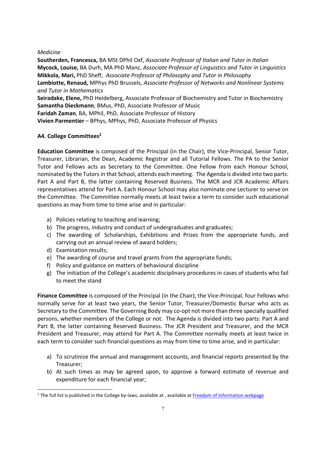#### *Medicine*

**Southerden, Francesca,** BA MSt DPhil Oxf, *Associate Professor of Italian and Tutor in Italian*  **Mycock, Louise,** BA Durh, MA PhD Manc, *Associate Professor of Linguistics and Tutor in Linguistics*  **Mikkola, Mari,** PhD Sheff, *Associate Professor of Philosophy and Tutor in Philosophy*  **Lambiotte, Renaud,** MPhys PhD Brussels, *Associate Professor of Networks and Nonlinear Systems and Tutor in Mathematics*  **Seiradake, Elene,** PhD Heidelberg, Associate Professor of Biochemistry and Tutor in Biochemistry **Samantha Dieckmann**, BMus, PhD, Associate Professor of Music **Faridah Zaman**, BA, MPhil, PhD, Associate Professor of History **Vivien Parmentier** – BPhys, MPhys, PhD, Associate Professor of Physics

#### **A4. College Committees<sup>2</sup>**

**Education Committee** is composed of the Principal (in the Chair), the Vice-Principal, Senior Tutor, Treasurer, Librarian, the Dean, Academic Registrar and all Tutorial Fellows. The PA to the Senior Tutor and Fellows acts as Secretary to the Committee. One Fellow from each Honour School, nominated by the Tutors in that School, attends each meeting. The Agenda is divided into two parts: Part A and Part B, the latter containing Reserved Business. The MCR and JCR Academic Affairs representatives attend for Part A. Each Honour School may also nominate one Lecturer to serve on the Committee. The Committee normally meets at least twice a term to consider such educational questions as may from time to time arise and in particular:

- a) Policies relating to teaching and learning;
- b) The progress, industry and conduct of undergraduates and graduates;
- c) The awarding of Scholarships, Exhibitions and Prizes from the appropriate funds, and carrying out an annual review of award holders;
- d) Examination results;
- e) The awarding of course and travel grants from the appropriate funds;
- f) Policy and guidance on matters of behavioural discipline
- g) The initiation of the College's academic disciplinary procedures in cases of students who fail to meet the stand

**Finance Committee** is composed of the Principal (in the Chair), the Vice-Principal, four Fellows who normally serve for at least two years, the Senior Tutor, Treasurer/Domestic Bursar who acts as Secretary to the Committee. The Governing Body may co-opt not more than three specially qualified persons, whether members of the College or not. The Agenda is divided into two parts: Part A and Part B, the latter containing Reserved Business. The JCR President and Treasurer, and the MCR President and Treasurer, may attend for Part A. The Committee normally meets at least twice in each term to consider such financial questions as may from time to time arise, and in particular:

- a) To scrutinize the annual and management accounts, and financial reports presented by the Treasurer;
- b) At such times as may be agreed upon, to approve a forward estimate of revenue and expenditure for each financial year;

 $<sup>2</sup>$  The full list is published in the College by-laws, available at , available at Freedom of Information webpage</sup>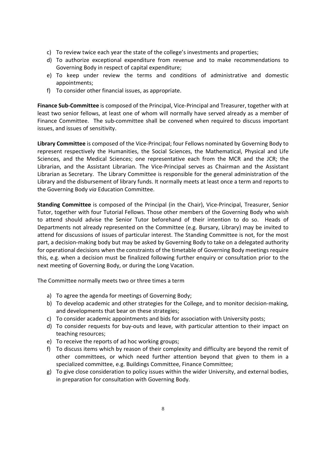- c) To review twice each year the state of the college's investments and properties;
- d) To authorize exceptional expenditure from revenue and to make recommendations to Governing Body in respect of capital expenditure;
- e) To keep under review the terms and conditions of administrative and domestic appointments;
- f) To consider other financial issues, as appropriate.

**Finance Sub-Committee** is composed of the Principal, Vice-Principal and Treasurer, together with at least two senior fellows, at least one of whom will normally have served already as a member of Finance Committee. The sub-committee shall be convened when required to discuss important issues, and issues of sensitivity.

**Library Committee** is composed of the Vice-Principal; four Fellows nominated by Governing Body to represent respectively the Humanities, the Social Sciences, the Mathematical, Physical and Life Sciences, and the Medical Sciences; one representative each from the MCR and the JCR; the Librarian, and the Assistant Librarian. The Vice-Principal serves as Chairman and the Assistant Librarian as Secretary. The Library Committee is responsible for the general administration of the Library and the disbursement of library funds. It normally meets at least once a term and reports to the Governing Body *via* Education Committee.

**Standing Committee** is composed of the Principal (in the Chair), Vice-Principal, Treasurer, Senior Tutor, together with four Tutorial Fellows. Those other members of the Governing Body who wish to attend should advise the Senior Tutor beforehand of their intention to do so. Heads of Departments not already represented on the Committee (e.g. Bursary, Library) may be invited to attend for discussions of issues of particular interest. The Standing Committee is not, for the most part, a decision-making body but may be asked by Governing Body to take on a delegated authority for operational decisions when the constraints of the timetable of Governing Body meetings require this, e.g. when a decision must be finalized following further enquiry or consultation prior to the next meeting of Governing Body, or during the Long Vacation.

The Committee normally meets two or three times a term

- a) To agree the agenda for meetings of Governing Body;
- b) To develop academic and other strategies for the College, and to monitor decision-making, and developments that bear on these strategies;
- c) To consider academic appointments and bids for association with University posts;
- d) To consider requests for buy-outs and leave, with particular attention to their impact on teaching resources;
- e) To receive the reports of ad hoc working groups;
- f) To discuss items which by reason of their complexity and difficulty are beyond the remit of other committees, or which need further attention beyond that given to them in a specialized committee, e.g. Buildings Committee, Finance Committee;
- g) To give close consideration to policy issues within the wider University, and external bodies, in preparation for consultation with Governing Body.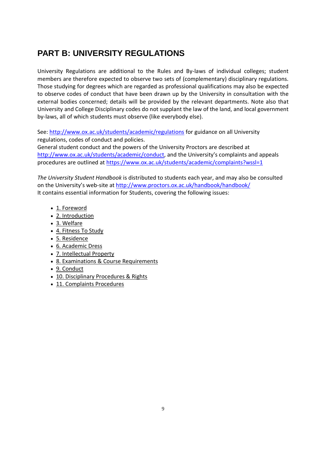# **PART B: UNIVERSITY REGULATIONS**

University Regulations are additional to the Rules and By-laws of individual colleges; student members are therefore expected to observe two sets of (complementary) disciplinary regulations. Those studying for degrees which are regarded as professional qualifications may also be expected to observe codes of conduct that have been drawn up by the University in consultation with the external bodies concerned; details will be provided by the relevant departments. Note also that University and College Disciplinary codes do not supplant the law of the land, and local government by-laws, all of which students must observe (like everybody else).

See: http://www.ox.ac.uk/students/academic/regulations for guidance on all University regulations, codes of conduct and policies.

General student conduct and the powers of the University Proctors are described at http://www.ox.ac.uk/students/academic/conduct, and the University's complaints and appeals procedures are outlined at https://www.ox.ac.uk/students/academic/complaints?wssl=1

*The University Student Handbook* is distributed to students each year, and may also be consulted on the University's web-site at http://www.proctors.ox.ac.uk/handbook/handbook/ It contains essential information for Students, covering the following issues:

- 1. Foreword
- 2. Introduction
- 3. Welfare
- 4. Fitness To Study
- 5. Residence
- 6. Academic Dress
- 7. Intellectual Property
- 8. Examinations & Course Requirements
- 9. Conduct
- 10. Disciplinary Procedures & Rights
- 11. Complaints Procedures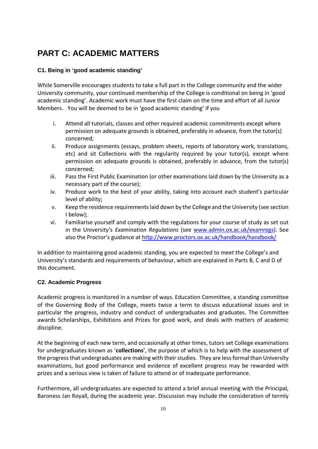# **PART C: ACADEMIC MATTERS**

## **C1. Being in 'good academic standing'**

While Somerville encourages students to take a full part in the College community and the wider University community, your continued membership of the College is conditional on being in 'good academic standing'. Academic work must have the first claim on the time and effort of all Junior Members. You will be deemed to be in 'good academic standing' if you

- i. Attend all tutorials, classes and other required academic commitments except where permission on adequate grounds is obtained, preferably in advance, from the tutor(s) concerned;
- ii. Produce assignments (essays, problem sheets, reports of laboratory work, translations, etc) and sit Collections with the regularity required by your tutor(s), except where permission on adequate grounds is obtained, preferably in advance, from the tutor(s) concerned;
- iii. Pass the First Public Examination (or other examinations laid down by the University as a necessary part of the course);
- iv. Produce work to the best of your ability, taking into account each student's particular level of ability;
- v. Keep the residence requirements laid down by the College and the University (see section I below);
- vi. Familiarise yourself and comply with the regulations for your course of study as set out in the University's *Examination Regulations* (see www.admin.ox.ac.uk/examregs). See also the Proctor's guidance at http://www.proctors.ox.ac.uk/handbook/handbook/

In addition to maintaining good academic standing, you are expected to meet the College's and University's standards and requirements of behaviour, which are explained in Parts B, C and D of this document.

#### **C2. Academic Progress**

Academic progress is monitored in a number of ways. Education Committee, a standing committee of the Governing Body of the College, meets twice a term to discuss educational issues and in particular the progress, industry and conduct of undergraduates and graduates. The Committee awards Scholarships, Exhibitions and Prizes for good work, and deals with matters of academic discipline.

At the beginning of each new term, and occasionally at other times, tutors set College examinations for undergraduates known as '**collections**', the purpose of which is to help with the assessment of the progress that undergraduates are making with their studies. They are less formal than University examinations, but good performance and evidence of excellent progress may be rewarded with prizes and a serious view is taken of failure to attend or of inadequate performance.

Furthermore, all undergraduates are expected to attend a brief annual meeting with the Principal, Baroness Jan Royall, during the academic year. Discussion may include the consideration of termly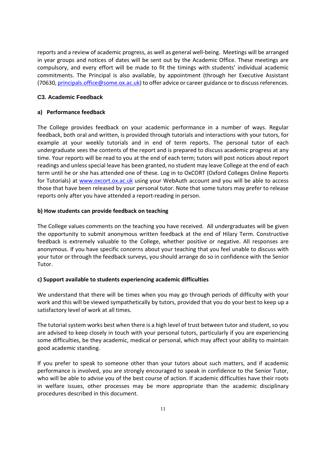reports and a review of academic progress, as well as general well-being. Meetings will be arranged in year groups and notices of dates will be sent out by the Academic Office. These meetings are compulsory, and every effort will be made to fit the timings with students' individual academic commitments. The Principal is also available, by appointment (through her Executive Assistant (70630, principals.office@some.ox.ac.uk) to offer advice or career guidance or to discuss references.

#### **C3. Academic Feedback**

### **a) Performance feedback**

The College provides feedback on your academic performance in a number of ways. Regular feedback, both oral and written, is provided through tutorials and interactions with your tutors, for example at your weekly tutorials and in end of term reports. The personal tutor of each undergraduate sees the contents of the report and is prepared to discuss academic progress at any time. Your reports will be read to you at the end of each term; tutors will post notices about report readings and unless special leave has been granted, no student may leave College at the end of each term until he or she has attended one of these. Log in to OxCORT (Oxford Colleges Online Reports for Tutorials) at www.oxcort.ox.ac.uk using your WebAuth account and you will be able to access those that have been released by your personal tutor. Note that some tutors may prefer to release reports only after you have attended a report-reading in person.

### **b) How students can provide feedback on teaching**

The College values comments on the teaching you have received. All undergraduates will be given the opportunity to submit anonymous written feedback at the end of Hilary Term. Constructive feedback is extremely valuable to the College, whether positive or negative. All responses are anonymous. If you have specific concerns about your teaching that you feel unable to discuss with your tutor or through the feedback surveys, you should arrange do so in confidence with the Senior Tutor.

#### **c) Support available to students experiencing academic difficulties**

We understand that there will be times when you may go through periods of difficulty with your work and this will be viewed sympathetically by tutors, provided that you do your best to keep up a satisfactory level of work at all times.

The tutorial system works best when there is a high level of trust between tutor and student, so you are advised to keep closely in touch with your personal tutors, particularly if you are experiencing some difficulties, be they academic, medical or personal, which may affect your ability to maintain good academic standing.

If you prefer to speak to someone other than your tutors about such matters, and if academic performance is involved, you are strongly encouraged to speak in confidence to the Senior Tutor, who will be able to advise you of the best course of action. If academic difficulties have their roots in welfare issues, other processes may be more appropriate than the academic disciplinary procedures described in this document.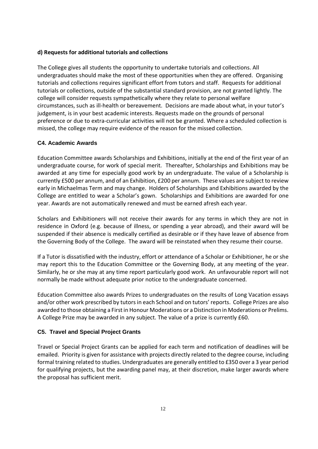#### **d) Requests for additional tutorials and collections**

The College gives all students the opportunity to undertake tutorials and collections. All undergraduates should make the most of these opportunities when they are offered. Organising tutorials and collections requires significant effort from tutors and staff. Requests for additional tutorials or collections, outside of the substantial standard provision, are not granted lightly. The college will consider requests sympathetically where they relate to personal welfare circumstances, such as ill-health or bereavement. Decisions are made about what, in your tutor's judgement, is in your best academic interests. Requests made on the grounds of personal preference or due to extra-curricular activities will not be granted. Where a scheduled collection is missed, the college may require evidence of the reason for the missed collection.

#### **C4. Academic Awards**

Education Committee awards Scholarships and Exhibitions, initially at the end of the first year of an undergraduate course, for work of special merit. Thereafter, Scholarships and Exhibitions may be awarded at any time for especially good work by an undergraduate. The value of a Scholarship is currently £500 per annum, and of an Exhibition, £200 per annum. These values are subject to review early in Michaelmas Term and may change. Holders of Scholarships and Exhibitions awarded by the College are entitled to wear a Scholar's gown. Scholarships and Exhibitions are awarded for one year. Awards are not automatically renewed and must be earned afresh each year.

Scholars and Exhibitioners will not receive their awards for any terms in which they are not in residence in Oxford (e.g. because of illness, or spending a year abroad), and their award will be suspended if their absence is medically certified as desirable or if they have leave of absence from the Governing Body of the College. The award will be reinstated when they resume their course.

If a Tutor is dissatisfied with the industry, effort or attendance of a Scholar or Exhibitioner, he or she may report this to the Education Committee or the Governing Body, at any meeting of the year. Similarly, he or she may at any time report particularly good work. An unfavourable report will not normally be made without adequate prior notice to the undergraduate concerned.

Education Committee also awards Prizes to undergraduates on the results of Long Vacation essays and/or other work prescribed by tutors in each School and on tutors' reports. College Prizes are also awarded to those obtaining a First in Honour Moderations or a Distinction in Moderations or Prelims. A College Prize may be awarded in any subject. The value of a prize is currently £60.

#### **C5. Travel and Special Project Grants**

Travel or Special Project Grants can be applied for each term and notification of deadlines will be emailed. Priority is given for assistance with projects directly related to the degree course, including formal training related to studies. Undergraduates are generally entitled to £350 over a 3 year period for qualifying projects, but the awarding panel may, at their discretion, make larger awards where the proposal has sufficient merit.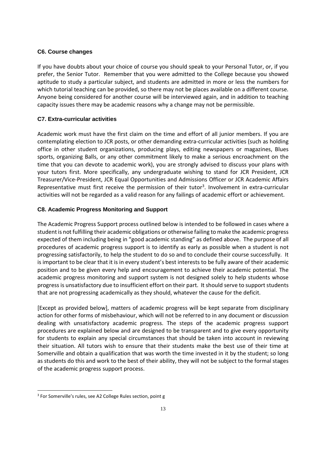#### **C6. Course changes**

If you have doubts about your choice of course you should speak to your Personal Tutor, or, if you prefer, the Senior Tutor. Remember that you were admitted to the College because you showed aptitude to study a particular subject, and students are admitted in more or less the numbers for which tutorial teaching can be provided, so there may not be places available on a different course. Anyone being considered for another course will be interviewed again, and in addition to teaching capacity issues there may be academic reasons why a change may not be permissible.

#### **C7. Extra-curricular activities**

Academic work must have the first claim on the time and effort of all junior members. If you are contemplating election to JCR posts, or other demanding extra-curricular activities (such as holding office in other student organizations, producing plays, editing newspapers or magazines, Blues sports, organizing Balls, or any other commitment likely to make a serious encroachment on the time that you can devote to academic work), you are strongly advised to discuss your plans with your tutors first. More specifically, any undergraduate wishing to stand for JCR President, JCR Treasurer/Vice-President, JCR Equal Opportunities and Admissions Officer or JCR Academic Affairs Representative must first receive the permission of their tutor<sup>3</sup>. Involvement in extra-curricular activities will not be regarded as a valid reason for any failings of academic effort or achievement.

#### **C8. Academic Progress Monitoring and Support**

The Academic Progress Support process outlined below is intended to be followed in cases where a student is not fulfilling their academic obligations or otherwise failing to make the academic progress expected of them including being in "good academic standing" as defined above. The purpose of all procedures of academic progress support is to identify as early as possible when a student is not progressing satisfactorily, to help the student to do so and to conclude their course successfully. It is important to be clear that it is in every student's best interests to be fully aware of their academic position and to be given every help and encouragement to achieve their academic potential. The academic progress monitoring and support system is not designed solely to help students whose progress is unsatisfactory due to insufficient effort on their part. It should serve to support students that are not progressing academically as they should, whatever the cause for the deficit.

[Except as provided below], matters of academic progress will be kept separate from disciplinary action for other forms of misbehaviour, which will not be referred to in any document or discussion dealing with unsatisfactory academic progress. The steps of the academic progress support procedures are explained below and are designed to be transparent and to give every opportunity for students to explain any special circumstances that should be taken into account in reviewing their situation. All tutors wish to ensure that their students make the best use of their time at Somerville and obtain a qualification that was worth the time invested in it by the student; so long as students do this and work to the best of their ability, they will not be subject to the formal stages of the academic progress support process.

<sup>&</sup>lt;sup>3</sup> For Somerville's rules, see A2 College Rules section, point g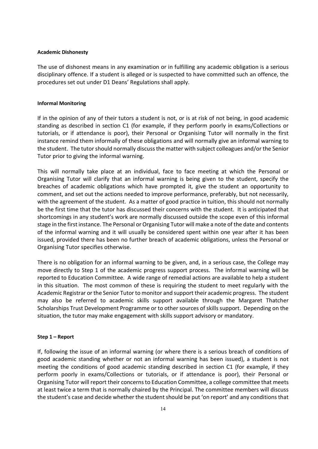#### **Academic Dishonesty**

The use of dishonest means in any examination or in fulfilling any academic obligation is a serious disciplinary offence. If a student is alleged or is suspected to have committed such an offence, the procedures set out under D1 Deans' Regulations shall apply.

#### **Informal Monitoring**

If in the opinion of any of their tutors a student is not, or is at risk of not being, in good academic standing as described in section C1 (for example, if they perform poorly in exams/Collections or tutorials, or if attendance is poor), their Personal or Organising Tutor will normally in the first instance remind them informally of these obligations and will normally give an informal warning to the student. The tutor should normally discuss the matter with subject colleagues and/or the Senior Tutor prior to giving the informal warning.

This will normally take place at an individual, face to face meeting at which the Personal or Organising Tutor will clarify that an informal warning is being given to the student, specify the breaches of academic obligations which have prompted it, give the student an opportunity to comment, and set out the actions needed to improve performance, preferably, but not necessarily, with the agreement of the student. As a matter of good practice in tuition, this should not normally be the first time that the tutor has discussed their concerns with the student. It is anticipated that shortcomings in any student's work are normally discussed outside the scope even of this informal stage in the first instance. The Personal or Organising Tutor will make a note of the date and contents of the informal warning and it will usually be considered spent within one year after it has been issued, provided there has been no further breach of academic obligations, unless the Personal or Organising Tutor specifies otherwise.

There is no obligation for an informal warning to be given, and, in a serious case, the College may move directly to Step 1 of the academic progress support process. The informal warning will be reported to Education Committee. A wide range of remedial actions are available to help a student in this situation. The most common of these is requiring the student to meet regularly with the Academic Registrar or the Senior Tutor to monitor and support their academic progress. The student may also be referred to academic skills support available through the Margaret Thatcher Scholarships Trust Development Programme or to other sources of skills support. Depending on the situation, the tutor may make engagement with skills support advisory or mandatory.

#### **Step 1 – Report**

If, following the issue of an informal warning (or where there is a serious breach of conditions of good academic standing whether or not an informal warning has been issued), a student is not meeting the conditions of good academic standing described in section C1 (for example, if they perform poorly in exams/Collections or tutorials, or if attendance is poor), their Personal or Organising Tutor will report their concerns to Education Committee, a college committee that meets at least twice a term that is normally chaired by the Principal. The committee members will discuss the student's case and decide whether the student should be put 'on report' and any conditions that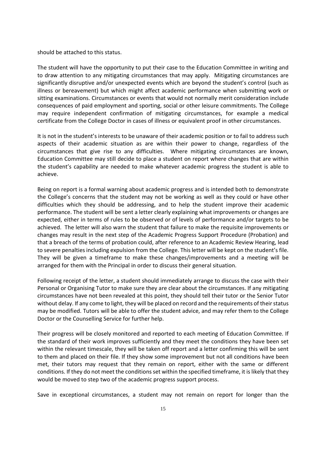should be attached to this status.

The student will have the opportunity to put their case to the Education Committee in writing and to draw attention to any mitigating circumstances that may apply. Mitigating circumstances are significantly disruptive and/or unexpected events which are beyond the student's control (such as illness or bereavement) but which might affect academic performance when submitting work or sitting examinations. Circumstances or events that would not normally merit consideration include consequences of paid employment and sporting, social or other leisure commitments. The College may require independent confirmation of mitigating circumstances, for example a medical certificate from the College Doctor in cases of illness or equivalent proof in other circumstances.

It is not in the student's interests to be unaware of their academic position or to fail to address such aspects of their academic situation as are within their power to change, regardless of the circumstances that give rise to any difficulties. Where mitigating circumstances are known, Education Committee may still decide to place a student on report where changes that are within the student's capability are needed to make whatever academic progress the student is able to achieve.

Being on report is a formal warning about academic progress and is intended both to demonstrate the College's concerns that the student may not be working as well as they could or have other difficulties which they should be addressing, and to help the student improve their academic performance. The student will be sent a letter clearly explaining what improvements or changes are expected, either in terms of rules to be observed or of levels of performance and/or targets to be achieved. The letter will also warn the student that failure to make the requisite improvements or changes may result in the next step of the Academic Progress Support Procedure (Probation) and that a breach of the terms of probation could, after reference to an Academic Review Hearing, lead to severe penalties including expulsion from the College. This letter will be kept on the student's file. They will be given a timeframe to make these changes/improvements and a meeting will be arranged for them with the Principal in order to discuss their general situation.

Following receipt of the letter, a student should immediately arrange to discuss the case with their Personal or Organising Tutor to make sure they are clear about the circumstances. If any mitigating circumstances have not been revealed at this point, they should tell their tutor or the Senior Tutor without delay. If any come to light, they will be placed on record and the requirements of their status may be modified. Tutors will be able to offer the student advice, and may refer them to the College Doctor or the Counselling Service for further help.

Their progress will be closely monitored and reported to each meeting of Education Committee. If the standard of their work improves sufficiently and they meet the conditions they have been set within the relevant timescale, they will be taken off report and a letter confirming this will be sent to them and placed on their file. If they show some improvement but not all conditions have been met, their tutors may request that they remain on report, either with the same or different conditions. If they do not meet the conditions set within the specified timeframe, it is likely that they would be moved to step two of the academic progress support process.

Save in exceptional circumstances, a student may not remain on report for longer than the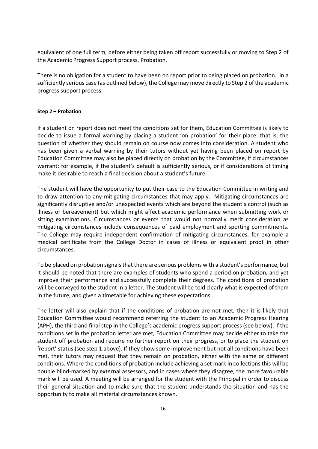equivalent of one full term, before either being taken off report successfully or moving to Step 2 of the Academic Progress Support process, Probation.

There is no obligation for a student to have been on report prior to being placed on probation. In a sufficiently serious case (as outlined below), the College may move directly to Step 2 of the academic progress support process.

#### **Step 2 – Probation**

If a student on report does not meet the conditions set for them, Education Committee is likely to decide to issue a formal warning by placing a student 'on probation' for their place: that is, the question of whether they should remain on course now comes into consideration. A student who has been given a verbal warning by their tutors without yet having been placed on report by Education Committee may also be placed directly on probation by the Committee, if circumstances warrant: for example, if the student's default is sufficiently serious, or if considerations of timing make it desirable to reach a final decision about a student's future.

The student will have the opportunity to put their case to the Education Committee in writing and to draw attention to any mitigating circumstances that may apply. Mitigating circumstances are significantly disruptive and/or unexpected events which are beyond the student's control (such as illness or bereavement) but which might affect academic performance when submitting work or sitting examinations. Circumstances or events that would not normally merit consideration as mitigating circumstances include consequences of paid employment and sporting commitments. The College may require independent confirmation of mitigating circumstances, for example a medical certificate from the College Doctor in cases of illness or equivalent proof in other circumstances.

To be placed on probation signals that there are serious problems with a student's performance, but it should be noted that there are examples of students who spend a period on probation, and yet improve their performance and successfully complete their degrees. The conditions of probation will be conveyed to the student in a letter. The student will be told clearly what is expected of them in the future, and given a timetable for achieving these expectations.

The letter will also explain that if the conditions of probation are not met, then it is likely that Education Committee would recommend referring the student to an Academic Progress Hearing (APH), the third and final step in the College's academic progress support process (see below). If the conditions set in the probation letter are met, Education Committee may decide either to take the student off probation and require no further report on their progress, or to place the student on 'report' status (see step 1 above). If they show some improvement but not all conditions have been met, their tutors may request that they remain on probation, either with the same or different conditions. Where the conditions of probation include achieving a set mark in collections this will be double blind-marked by external assessors, and in cases where they disagree, the more favourable mark will be used. A meeting will be arranged for the student with the Principal in order to discuss their general situation and to make sure that the student understands the situation and has the opportunity to make all material circumstances known.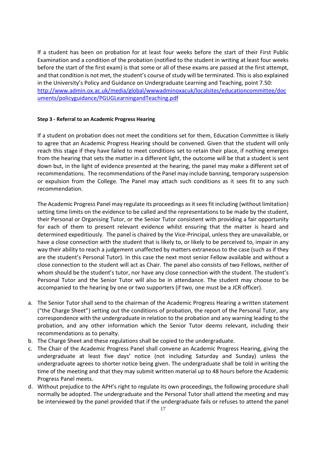If a student has been on probation for at least four weeks before the start of their First Public Examination and a condition of the probation (notified to the student in writing at least four weeks before the start of the first exam) is that some or all of these exams are passed at the first attempt, and that condition is not met, the student's course of study will be terminated. This is also explained in the University's Policy and Guidance on Undergraduate Learning and Teaching, point 7.50: http://www.admin.ox.ac.uk/media/global/wwwadminoxacuk/localsites/educationcommittee/doc uments/policyguidance/PGUGLearningandTeaching.pdf

#### **Step 3 - Referral to an Academic Progress Hearing**

If a student on probation does not meet the conditions set for them, Education Committee is likely to agree that an Academic Progress Hearing should be convened. Given that the student will only reach this stage if they have failed to meet conditions set to retain their place, if nothing emerges from the hearing that sets the matter in a different light, the outcome will be that a student is sent down but, in the light of evidence presented at the hearing, the panel may make a different set of recommendations. The recommendations of the Panel may include banning, temporary suspension or expulsion from the College. The Panel may attach such conditions as it sees fit to any such recommendation.

The Academic Progress Panel may regulate its proceedings as it sees fit including (without limitation) setting time limits on the evidence to be called and the representations to be made by the student, their Personal or Organising Tutor, or the Senior Tutor consistent with providing a fair opportunity for each of them to present relevant evidence whilst ensuring that the matter is heard and determined expeditiously. The panel is chaired by the Vice-Principal, unless they are unavailable, or have a close connection with the student that is likely to, or likely to be perceived to, impair in any way their ability to reach a judgement unaffected by matters extraneous to the case (such as if they are the student's Personal Tutor). In this case the next most senior Fellow available and without a close connection to the student will act as Chair. The panel also consists of two Fellows, neither of whom should be the student's tutor, nor have any close connection with the student. The student's Personal Tutor and the Senior Tutor will also be in attendance. The student may choose to be accompanied to the hearing by one or two supporters (if two, one must be a JCR officer).

- a. The Senior Tutor shall send to the chairman of the Academic Progress Hearing a written statement ("the Charge Sheet") setting out the conditions of probation, the report of the Personal Tutor, any correspondence with the undergraduate in relation to the probation and any warning leading to the probation, and any other information which the Senior Tutor deems relevant, including their recommendations as to penalty.
- b. The Charge Sheet and these regulations shall be copied to the undergraduate.
- c. The Chair of the Academic Progress Panel shall convene an Academic Progress Hearing, giving the undergraduate at least five days' notice (not including Saturday and Sunday) unless the undergraduate agrees to shorter notice being given. The undergraduate shall be told in writing the time of the meeting and that they may submit written material up to 48 hours before the Academic Progress Panel meets.
- d. Without prejudice to the APH's right to regulate its own proceedings, the following procedure shall normally be adopted. The undergraduate and the Personal Tutor shall attend the meeting and may be interviewed by the panel provided that if the undergraduate fails or refuses to attend the panel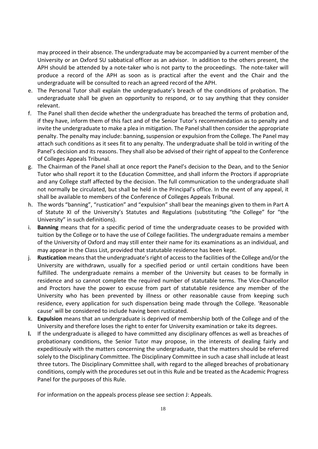may proceed in their absence. The undergraduate may be accompanied by a current member of the University or an Oxford SU sabbatical officer as an advisor. In addition to the others present, the APH should be attended by a note-taker who is not party to the proceedings. The note-taker will produce a record of the APH as soon as is practical after the event and the Chair and the undergraduate will be consulted to reach an agreed record of the APH.

- e. The Personal Tutor shall explain the undergraduate's breach of the conditions of probation. The undergraduate shall be given an opportunity to respond, or to say anything that they consider relevant.
- f. The Panel shall then decide whether the undergraduate has breached the terms of probation and, if they have, inform them of this fact and of the Senior Tutor's recommendation as to penalty and invite the undergraduate to make a plea in mitigation. The Panel shall then consider the appropriate penalty. The penalty may include: banning, suspension or expulsion from the College. The Panel may attach such conditions as it sees fit to any penalty. The undergraduate shall be told in writing of the Panel's decision and its reasons. They shall also be advised of their right of appeal to the Conference of Colleges Appeals Tribunal.
- g. The Chairman of the Panel shall at once report the Panel's decision to the Dean, and to the Senior Tutor who shall report it to the Education Committee, and shall inform the Proctors if appropriate and any College staff affected by the decision. The full communication to the undergraduate shall not normally be circulated, but shall be held in the Principal's office. In the event of any appeal, it shall be available to members of the Conference of Colleges Appeals Tribunal.
- h. The words "banning", "rustication" and "expulsion" shall bear the meanings given to them in Part A of Statute XI of the University's Statutes and Regulations (substituting "the College" for "the University" in such definitions).
- i. **Banning** means that for a specific period of time the undergraduate ceases to be provided with tuition by the College or to have the use of College facilities. The undergraduate remains a member of the University of Oxford and may still enter their name for its examinations as an individual, and may appear in the Class List, provided that statutable residence has been kept.
- j. **Rustication** means that the undergraduate's right of access to the facilities of the College and/or the University are withdrawn, usually for a specified period or until certain conditions have been fulfilled. The undergraduate remains a member of the University but ceases to be formally in residence and so cannot complete the required number of statutable terms. The Vice-Chancellor and Proctors have the power to excuse from part of statutable residence any member of the University who has been prevented by illness or other reasonable cause from keeping such residence, every application for such dispensation being made through the College. 'Reasonable cause' will be considered to include having been rusticated.
- k. **Expulsion** means that an undergraduate is deprived of membership both of the College and of the University and therefore loses the right to enter for University examination or take its degrees.
- **l.** If the undergraduate is alleged to have committed any disciplinary offences as well as breaches of probationary conditions, the Senior Tutor may propose, in the interests of dealing fairly and expeditiously with the matters concerning the undergraduate, that the matters should be referred solely to the Disciplinary Committee. The Disciplinary Committee in such a case shall include at least three tutors. The Disciplinary Committee shall, with regard to the alleged breaches of probationary conditions, comply with the procedures set out in this Rule and be treated as the Academic Progress Panel for the purposes of this Rule.

For information on the appeals process please see section J: Appeals.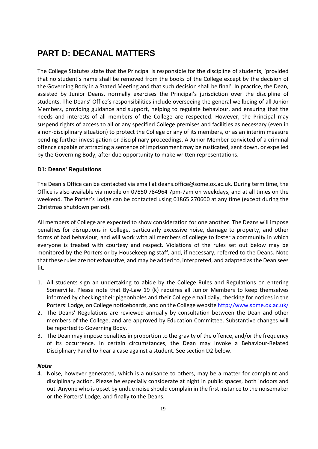# **PART D: DECANAL MATTERS**

The College Statutes state that the Principal is responsible for the discipline of students, 'provided that no student's name shall be removed from the books of the College except by the decision of the Governing Body in a Stated Meeting and that such decision shall be final'. In practice, the Dean, assisted by Junior Deans, normally exercises the Principal's jurisdiction over the discipline of students. The Deans' Office's responsibilities include overseeing the general wellbeing of all Junior Members, providing guidance and support, helping to regulate behaviour, and ensuring that the needs and interests of all members of the College are respected. However, the Principal may suspend rights of access to all or any specified College premises and facilities as necessary (even in a non-disciplinary situation) to protect the College or any of its members, or as an interim measure pending further investigation or disciplinary proceedings. A Junior Member convicted of a criminal offence capable of attracting a sentence of imprisonment may be rusticated, sent down, or expelled by the Governing Body, after due opportunity to make written representations.

### **D1: Deans' Regulations**

The Dean's Office can be contacted via email at deans.office@some.ox.ac.uk. During term time, the Office is also available via mobile on 07850 784964 7pm-7am on weekdays, and at all times on the weekend. The Porter's Lodge can be contacted using 01865 270600 at any time (except during the Christmas shutdown period).

All members of College are expected to show consideration for one another. The Deans will impose penalties for disruptions in College, particularly excessive noise, damage to property, and other forms of bad behaviour, and will work with all members of college to foster a community in which everyone is treated with courtesy and respect. Violations of the rules set out below may be monitored by the Porters or by Housekeeping staff, and, if necessary, referred to the Deans. Note that these rules are not exhaustive, and may be added to, interpreted, and adapted as the Dean sees fit.

- 1. All students sign an undertaking to abide by the College Rules and Regulations on entering Somerville. Please note that By-Law 19 (k) requires all Junior Members to keep themselves informed by checking their pigeonholes and their College email daily, checking for notices in the Porters' Lodge, on College noticeboards, and on the College website http://www.some.ox.ac.uk/
- 2. The Deans' Regulations are reviewed annually by consultation between the Dean and other members of the College, and are approved by Education Committee. Substantive changes will be reported to Governing Body.
- 3. The Dean may impose penalties in proportion to the gravity of the offence, and/or the frequency of its occurrence. In certain circumstances, the Dean may invoke a Behaviour-Related Disciplinary Panel to hear a case against a student. See section D2 below.

#### *Noise*

4. Noise, however generated, which is a nuisance to others, may be a matter for complaint and disciplinary action. Please be especially considerate at night in public spaces, both indoors and out. Anyone who is upset by undue noise should complain in the first instance to the noisemaker or the Porters' Lodge, and finally to the Deans.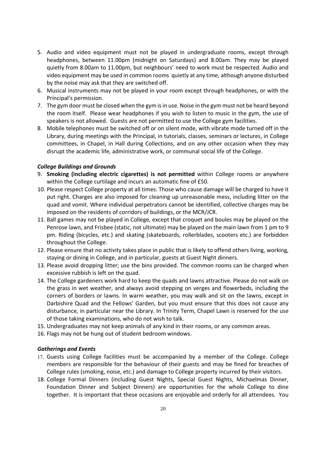- 5. Audio and video equipment must not be played in undergraduate rooms, except through headphones, between 11.00pm (midnight on Saturdays) and 8.00am. They may be played quietly from 8.00am to 11.00pm, but neighbours' need to work must be respected. Audio and video equipment may be used in common rooms quietly at any time, although anyone disturbed by the noise may ask that they are switched off.
- 6. Musical instruments may not be played in your room except through headphones, or with the Principal's permission.
- 7. The gym door must be closed when the gym is in use. Noise in the gym must not be heard beyond the room itself. Please wear headphones if you wish to listen to music in the gym, the use of speakers is not allowed. Guests are not permitted to use the College gym facilities.
- 8. Mobile telephones must be switched off or on silent mode, with vibrate mode turned off in the Library, during meetings with the Principal, in tutorials, classes, seminars or lectures, in College committees, in Chapel, in Hall during Collections, and on any other occasion when they may disrupt the academic life, administrative work, or communal social life of the College.

#### *College Buildings and Grounds*

- 9. **Smoking (including electric cigarettes) is not permitted** within College rooms or anywhere within the College curtilage and incurs an automatic fine of £50.
- 10. Please respect College property at all times. Those who cause damage will be charged to have it put right. Charges are also imposed for cleaning up unreasonable mess, including litter on the quad and vomit. Where individual perpetrators cannot be identified, collective charges may be imposed on the residents of corridors of buildings, or the MCR/JCR.
- 11. Ball games may not be played in College, except that croquet and boules may be played on the Penrose lawn, and Frisbee (static, not ultimate) may be played on the main lawn from 1 pm to 9 pm. Riding (bicycles, etc.) and skating (skateboards, rollerblades, scooters etc.) are forbidden throughout the College.
- 12. Please ensure that no activity takes place in public that is likely to offend others living, working, staying or dining in College, and in particular, guests at Guest Night dinners.
- 13. Please avoid dropping litter; use the bins provided. The common rooms can be charged when excessive rubbish is left on the quad.
- 14. The College gardeners work hard to keep the quads and lawns attractive. Please do not walk on the grass in wet weather, and always avoid stepping on verges and flowerbeds, including the corners of borders or lawns. In warm weather, you may walk and sit on the lawns, except in Darbishire Quad and the Fellows' Garden, but you must ensure that this does not cause any disturbance, in particular near the Library. In Trinity Term, Chapel Lawn is reserved for the use of those taking examinations, who do not wish to talk.
- 15. Undergraduates may not keep animals of any kind in their rooms, or any common areas.
- 16. Flags may not be hung out of student bedroom windows.

#### *Gatherings and Events*

- 17. Guests using College facilities must be accompanied by a member of the College. College members are responsible for the behaviour of their guests and may be fined for breaches of College rules (smoking, noise, etc.) and damage to College property incurred by their visitors.
- 18. College Formal Dinners (including Guest Nights, Special Guest Nights, Michaelmas Dinner, Foundation Dinner and Subject Dinners) are opportunities for the whole College to dine together. It is important that these occasions are enjoyable and orderly for all attendees. You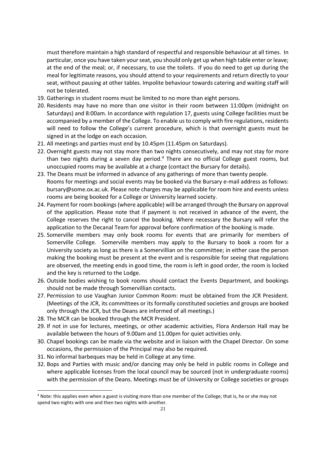must therefore maintain a high standard of respectful and responsible behaviour at all times. In particular, once you have taken your seat, you should only get up when high table enter or leave; at the end of the meal; or, if necessary, to use the toilets. If you do need to get up during the meal for legitimate reasons, you should attend to your requirements and return directly to your seat, without pausing at other tables. Impolite behaviour towards catering and waiting staff will not be tolerated.

- 19. Gatherings in student rooms must be limited to no more than eight persons.
- 20. Residents may have no more than one visitor in their room between 11:00pm (midnight on Saturdays) and 8:00am. In accordance with regulation 17, guests using College facilities must be accompanied by a member of the College. To enable us to comply with fire regulations, residents will need to follow the College's current procedure, which is that overnight guests must be signed in at the lodge on each occasion.
- 21. All meetings and parties must end by 10.45pm (11.45pm on Saturdays).
- 22. Overnight guests may not stay more than two nights consecutively, and may not stay for more than two nights during a seven day period.<sup>4</sup> There are no official College guest rooms, but unoccupied rooms may be available at a charge (contact the Bursary for details).
- 23. The Deans must be informed in advance of any gatherings of more than twenty people. Rooms for meetings and social events may be booked via the Bursary e-mail address as follows: bursary@some.ox.ac.uk. Please note charges may be applicable for room hire and events unless rooms are being booked for a College or University learned society.
- 24. Payment for room bookings (where applicable) will be arranged through the Bursary on approval of the application. Please note that if payment is not received in advance of the event, the College reserves the right to cancel the booking. Where necessary the Bursary will refer the application to the Decanal Team for approval before confirmation of the booking is made.
- 25. Somerville members may only book rooms for events that are primarily for members of Somerville College. Somerville members may apply to the Bursary to book a room for a University society as long as there is a Somervillian on the committee; in either case the person making the booking must be present at the event and is responsible for seeing that regulations are observed, the meeting ends in good time, the room is left in good order, the room is locked and the key is returned to the Lodge.
- 26. Outside bodies wishing to book rooms should contact the Events Department, and bookings should not be made through Somervillian contacts.
- 27. Permission to use Vaughan Junior Common Room: must be obtained from the JCR President. (Meetings of the JCR, its committees or its formally constituted societies and groups are booked only through the JCR, but the Deans are informed of all meetings.)
- 28. The MCR can be booked through the MCR President.
- 29. If not in use for lectures, meetings, or other academic activities, Flora Anderson Hall may be available between the hours of 9.00am and 11.00pm for quiet activities only.
- 30. Chapel bookings can be made via the website and in liaison with the Chapel Director. On some occasions, the permission of the Principal may also be required.
- 31. No informal barbeques may be held in College at any time.
- 32. Bops and Parties with music and/or dancing may only be held in public rooms in College and where applicable licenses from the local council may be sourced (not in undergraduate rooms) with the permission of the Deans. Meetings must be of University or College societies or groups

<sup>&</sup>lt;sup>4</sup> Note: this applies even when a guest is visiting more than one member of the College; that is, he or she may not spend two nights with one and then two nights with another.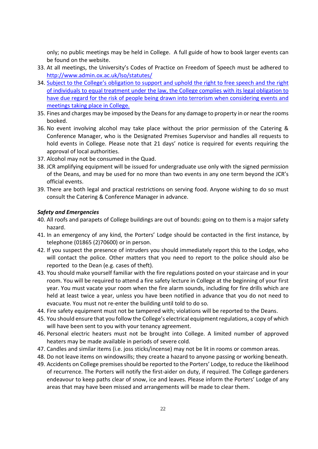only; no public meetings may be held in College. A full guide of how to book larger events can be found on the website.

- 33. At all meetings, the University's Codes of Practice on Freedom of Speech must be adhered to http://www.admin.ox.ac.uk/lso/statutes/
- 34. Subject to the College's obligation to support and uphold the right to free speech and the right of individuals to equal treatment under the law, the College complies with its legal obligation to have due regard for the risk of people being drawn into terrorism when considering events and meetings taking place in College.
- 35. Fines and charges may be imposed by the Deans for any damage to property in or near the rooms booked.
- 36. No event involving alcohol may take place without the prior permission of the Catering & Conference Manager, who is the Designated Premises Supervisor and handles all requests to hold events in College. Please note that 21 days' notice is required for events requiring the approval of local authorities.
- 37. Alcohol may not be consumed in the Quad.
- 38. JCR amplifying equipment will be issued for undergraduate use only with the signed permission of the Deans, and may be used for no more than two events in any one term beyond the JCR's official events.
- 39. There are both legal and practical restrictions on serving food. Anyone wishing to do so must consult the Catering & Conference Manager in advance.

#### *Safety and Emergencies*

- 40. All roofs and parapets of College buildings are out of bounds: going on to them is a major safety hazard.
- 41. In an emergency of any kind, the Porters' Lodge should be contacted in the first instance, by telephone (01865 (2)70600) or in person.
- 42. If you suspect the presence of intruders you should immediately report this to the Lodge, who will contact the police. Other matters that you need to report to the police should also be reported to the Dean (e.g. cases of theft).
- 43. You should make yourself familiar with the fire regulations posted on your staircase and in your room. You will be required to attend a fire safety lecture in College at the beginning of your first year. You must vacate your room when the fire alarm sounds, including for fire drills which are held at least twice a year, unless you have been notified in advance that you do not need to evacuate. You must not re-enter the building until told to do so.
- 44. Fire safety equipment must not be tampered with; violations will be reported to the Deans.
- 45. You should ensure that you follow the College's electrical equipment regulations, a copy of which will have been sent to you with your tenancy agreement.
- 46. Personal electric heaters must not be brought into College. A limited number of approved heaters may be made available in periods of severe cold.
- 47. Candles and similar items (i.e. joss sticks/incense) may not be lit in rooms or common areas.
- 48. Do not leave items on windowsills; they create a hazard to anyone passing or working beneath.
- 49. Accidents on College premises should be reported to the Porters' Lodge, to reduce the likelihood of recurrence. The Porters will notify the first-aider on duty, if required. The College gardeners endeavour to keep paths clear of snow, ice and leaves. Please inform the Porters' Lodge of any areas that may have been missed and arrangements will be made to clear them.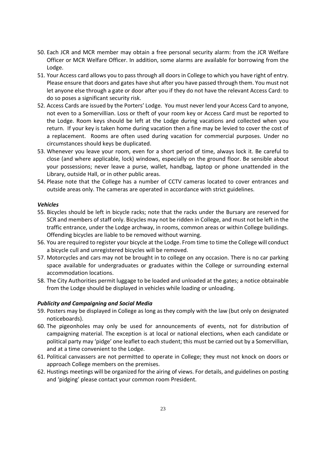- 50. Each JCR and MCR member may obtain a free personal security alarm: from the JCR Welfare Officer or MCR Welfare Officer. In addition, some alarms are available for borrowing from the Lodge.
- 51. Your Access card allows you to pass through all doors in College to which you have right of entry. Please ensure that doors and gates have shut after you have passed through them. You must not let anyone else through a gate or door after you if they do not have the relevant Access Card: to do so poses a significant security risk.
- 52. Access Cards are issued by the Porters' Lodge. You must never lend your Access Card to anyone, not even to a Somervillian. Loss or theft of your room key or Access Card must be reported to the Lodge. Room keys should be left at the Lodge during vacations and collected when you return. If your key is taken home during vacation then a fine may be levied to cover the cost of a replacement. Rooms are often used during vacation for commercial purposes. Under no circumstances should keys be duplicated.
- 53. Whenever you leave your room, even for a short period of time, always lock it. Be careful to close (and where applicable, lock) windows, especially on the ground floor. Be sensible about your possessions; never leave a purse, wallet, handbag, laptop or phone unattended in the Library, outside Hall, or in other public areas.
- 54. Please note that the College has a number of CCTV cameras located to cover entrances and outside areas only. The cameras are operated in accordance with strict guidelines.

#### *Vehicles*

- 55. Bicycles should be left in bicycle racks; note that the racks under the Bursary are reserved for SCR and members of staff only. Bicycles may not be ridden in College, and must not be left in the traffic entrance, under the Lodge archway, in rooms, common areas or within College buildings. Offending bicycles are liable to be removed without warning.
- 56. You are required to register your bicycle at the Lodge. From time to time the College will conduct a bicycle cull and unregistered bicycles will be removed.
- 57. Motorcycles and cars may not be brought in to college on any occasion. There is no car parking space available for undergraduates or graduates within the College or surrounding external accommodation locations.
- 58. The City Authorities permit luggage to be loaded and unloaded at the gates; a notice obtainable from the Lodge should be displayed in vehicles while loading or unloading.

#### *Publicity and Campaigning and Social Media*

- 59. Posters may be displayed in College as long as they comply with the law (but only on designated noticeboards).
- 60. The pigeonholes may only be used for announcements of events, not for distribution of campaigning material. The exception is at local or national elections, when each candidate or political party may 'pidge' one leaflet to each student; this must be carried out by a Somervillian, and at a time convenient to the Lodge.
- 61. Political canvassers are not permitted to operate in College; they must not knock on doors or approach College members on the premises.
- 62. Hustings meetings will be organized for the airing of views. For details, and guidelines on posting and 'pidging' please contact your common room President.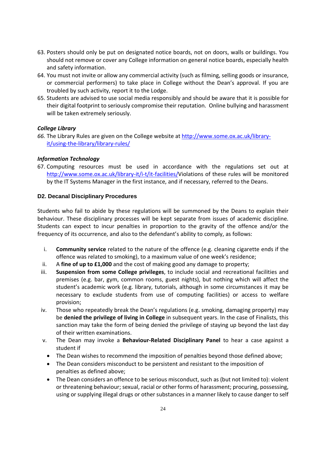- 63. Posters should only be put on designated notice boards, not on doors, walls or buildings. You should not remove or cover any College information on general notice boards, especially health and safety information.
- 64. You must not invite or allow any commercial activity (such as filming, selling goods or insurance, or commercial performers) to take place in College without the Dean's approval. If you are troubled by such activity, report it to the Lodge.
- 65. Students are advised to use social media responsibly and should be aware that it is possible for their digital footprint to seriously compromise their reputation. Online bullying and harassment will be taken extremely seriously.

#### *College Library*

*66.* The Library Rules are given on the College website at http://www.some.ox.ac.uk/libraryit/using-the-library/library-rules/

### *Information Technology*

67. Computing resources must be used in accordance with the regulations set out at http://www.some.ox.ac.uk/library-it/i-t/it-facilities/Violations of these rules will be monitored by the IT Systems Manager in the first instance, and if necessary, referred to the Deans.

#### **D2. Decanal Disciplinary Procedures**

Students who fail to abide by these regulations will be summoned by the Deans to explain their behaviour. These disciplinary processes will be kept separate from issues of academic discipline. Students can expect to incur penalties in proportion to the gravity of the offence and/or the frequency of its occurrence, and also to the defendant's ability to comply, as follows:

- i. **Community service** related to the nature of the offence (e.g. cleaning cigarette ends if the offence was related to smoking), to a maximum value of one week's residence;
- ii. A **fine of up to £1,000** and the cost of making good any damage to property;
- iii. **Suspension from some College privileges**, to include social and recreational facilities and premises (e.g. bar, gym, common rooms, guest nights), but nothing which will affect the student's academic work (e.g. library, tutorials, although in some circumstances it may be necessary to exclude students from use of computing facilities) or access to welfare provision;
- iv. Those who repeatedly break the Dean's regulations (e.g. smoking, damaging property) may be **denied the privilege of living in College** in subsequent years. In the case of Finalists, this sanction may take the form of being denied the privilege of staying up beyond the last day of their written examinations.
- v. The Dean may invoke a **Behaviour-Related Disciplinary Panel** to hear a case against a student if
	- The Dean wishes to recommend the imposition of penalties beyond those defined above;
	- The Dean considers misconduct to be persistent and resistant to the imposition of penalties as defined above;
	- The Dean considers an offence to be serious misconduct, such as (but not limited to): violent or threatening behaviour; sexual, racial or other forms of harassment; procuring, possessing, using or supplying illegal drugs or other substances in a manner likely to cause danger to self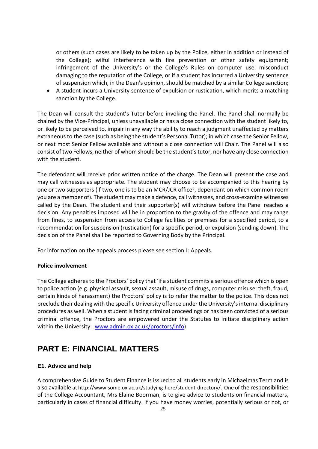or others (such cases are likely to be taken up by the Police, either in addition or instead of the College); wilful interference with fire prevention or other safety equipment; infringement of the University's or the College's Rules on computer use; misconduct damaging to the reputation of the College, or if a student has incurred a University sentence of suspension which, in the Dean's opinion, should be matched by a similar College sanction;

• A student incurs a University sentence of expulsion or rustication, which merits a matching sanction by the College.

The Dean will consult the student's Tutor before invoking the Panel. The Panel shall normally be chaired by the Vice-Principal, unless unavailable or has a close connection with the student likely to, or likely to be perceived to, impair in any way the ability to reach a judgment unaffected by matters extraneous to the case (such as being the student's Personal Tutor); in which case the Senior Fellow, or next most Senior Fellow available and without a close connection will Chair. The Panel will also consist of two Fellows, neither of whom should be the student's tutor, nor have any close connection with the student.

The defendant will receive prior written notice of the charge. The Dean will present the case and may call witnesses as appropriate. The student may choose to be accompanied to this hearing by one or two supporters (if two, one is to be an MCR/JCR officer, dependant on which common room you are a member of). The student may make a defence, call witnesses, and cross-examine witnesses called by the Dean. The student and their supporter(s) will withdraw before the Panel reaches a decision. Any penalties imposed will be in proportion to the gravity of the offence and may range from fines, to suspension from access to College facilities or premises for a specified period, to a recommendation for suspension (rustication) for a specific period, or expulsion (sending down). The decision of the Panel shall be reported to Governing Body by the Principal.

For information on the appeals process please see section J: Appeals.

#### **Police involvement**

The College adheres to the Proctors' policy that 'if a student commits a serious offence which is open to police action (e.g. physical assault, sexual assault, misuse of drugs, computer misuse, theft, fraud, certain kinds of harassment) the Proctors' policy is to refer the matter to the police. This does not preclude their dealing with the specific University offence under the University's internal disciplinary procedures as well. When a student is facing criminal proceedings or has been convicted of a serious criminal offence, the Proctors are empowered under the Statutes to initiate disciplinary action within the University: www.admin.ox.ac.uk/proctors/info)

## **PART E: FINANCIAL MATTERS**

#### **E1. Advice and help**

A comprehensive Guide to Student Finance is issued to all students early in Michaelmas Term and is also available at http://www.some.ox.ac.uk/studying-here/student-directory/. One of the responsibilities of the College Accountant, Mrs Elaine Boorman, is to give advice to students on financial matters, particularly in cases of financial difficulty. If you have money worries, potentially serious or not, or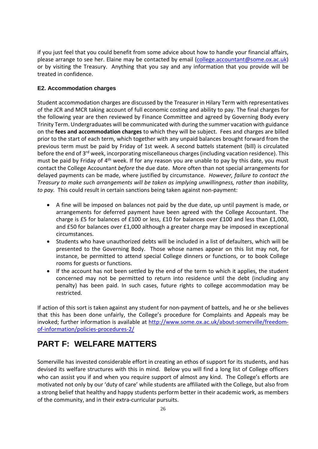if you just feel that you could benefit from some advice about how to handle your financial affairs, please arrange to see her. Elaine may be contacted by email (college.accountant@some.ox.ac.uk) or by visiting the Treasury. Anything that you say and any information that you provide will be treated in confidence.

### **E2. Accommodation charges**

Student accommodation charges are discussed by the Treasurer in Hilary Term with representatives of the JCR and MCR taking account of full economic costing and ability to pay. The final charges for the following year are then reviewed by Finance Committee and agreed by Governing Body every Trinity Term. Undergraduates will be communicated with during the summer vacation with guidance on the **fees and accommodation charges** to which they will be subject. Fees and charges are billed prior to the start of each term, which together with any unpaid balances brought forward from the previous term must be paid by Friday of 1st week. A second battels statement (bill) is circulated before the end of 3<sup>rd</sup> week, incorporating miscellaneous charges (including vacation residence). This must be paid by Friday of 4th week. If for any reason you are unable to pay by this date, you must contact the College Accountant *before* the due date. More often than not special arrangements for delayed payments can be made, where justified by circumstance. *However, failure to contact the Treasury to make such arrangements will be taken as implying unwillingness, rather than inability, to pay.* This could result in certain sanctions being taken against non-payment:

- A fine will be imposed on balances not paid by the due date, up until payment is made, or arrangements for deferred payment have been agreed with the College Accountant. The charge is £5 for balances of £100 or less, £10 for balances over £100 and less than £1,000, and £50 for balances over £1,000 although a greater charge may be imposed in exceptional circumstances.
- Students who have unauthorized debts will be included in a list of defaulters, which will be presented to the Governing Body. Those whose names appear on this list may not, for instance, be permitted to attend special College dinners or functions, or to book College rooms for guests or functions.
- If the account has not been settled by the end of the term to which it applies, the student concerned may not be permitted to return into residence until the debt (including any penalty) has been paid. In such cases, future rights to college accommodation may be restricted.

If action of this sort is taken against any student for non-payment of battels, and he or she believes that this has been done unfairly, the College's procedure for Complaints and Appeals may be invoked; further information is available at http://www.some.ox.ac.uk/about-somerville/freedomof-information/policies-procedures-2/

# **PART F: WELFARE MATTERS**

Somerville has invested considerable effort in creating an ethos of support for its students, and has devised its welfare structures with this in mind. Below you will find a long list of College officers who can assist you if and when you require support of almost any kind. The College's efforts are motivated not only by our 'duty of care' while students are affiliated with the College, but also from a strong belief that healthy and happy students perform better in their academic work, as members of the community, and in their extra-curricular pursuits.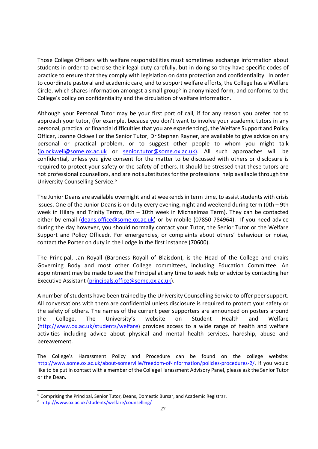Those College Officers with welfare responsibilities must sometimes exchange information about students in order to exercise their legal duty carefully, but in doing so they have specific codes of practice to ensure that they comply with legislation on data protection and confidentiality. In order to coordinate pastoral and academic care, and to support welfare efforts, the College has a Welfare Circle, which shares information amongst a small group<sup>5</sup> in anonymized form, and conforms to the College's policy on confidentiality and the circulation of welfare information.

Although your Personal Tutor may be your first port of call, if for any reason you prefer not to approach your tutor, (for example, because you don't want to involve your academic tutors in any personal, practical or financial difficulties that you are experiencing), the Welfare Support and Policy Officer, Joanne Ockwell or the Senior Tutor, Dr Stephen Rayner, are available to give advice on any personal or practical problem, or to suggest other people to whom you might talk (jo.ockwell@some.ox.ac.uk or senior.tutor@some.ox.ac.uk). All such approaches will be confidential, unless you give consent for the matter to be discussed with others or disclosure is required to protect your safety or the safety of others. It should be stressed that these tutors are not professional counsellors, and are not substitutes for the professional help available through the University Counselling Service.<sup>6</sup>

The Junior Deans are available overnight and at weekends in term time, to assist students with crisis issues. One of the Junior Deans is on duty every evening, night and weekend during term (0th – 9th week in Hilary and Trinity Terms, 0th – 10th week in Michaelmas Term). They can be contacted either by email (deans.office@some.ox.ac.uk) or by mobile (07850 784964). If you need advice during the day however, you should normally contact your Tutor, the Senior Tutor or the Welfare Support and Policy Officedr. For emergencies, or complaints about others' behaviour or noise, contact the Porter on duty in the Lodge in the first instance (70600).

The Principal, Jan Royall (Baroness Royall of Blaisdon), is the Head of the College and chairs Governing Body and most other College committees, including Education Committee. An appointment may be made to see the Principal at any time to seek help or advice by contacting her Executive Assistant (principals.office@some.ox.ac.uk).

A number of students have been trained by the University Counselling Service to offer peer support. All conversations with them are confidential unless disclosure is required to protect your safety or the safety of others. The names of the current peer supporters are announced on posters around the College. The University's website on Student Health and Welfare (http://www.ox.ac.uk/students/welfare) provides access to a wide range of health and welfare activities including advice about physical and mental health services, hardship, abuse and bereavement.

The College's Harassment Policy and Procedure can be found on the college website: http://www.some.ox.ac.uk/about-somerville/freedom-of-information/policies-procedures-2/. If you would like to be put in contact with a member of the College Harassment Advisory Panel, please ask the Senior Tutor or the Dean.

<sup>5</sup> Comprising the Principal, Senior Tutor, Deans, Domestic Bursar, and Academic Registrar.

<sup>6</sup> http://www.ox.ac.uk/students/welfare/counselling/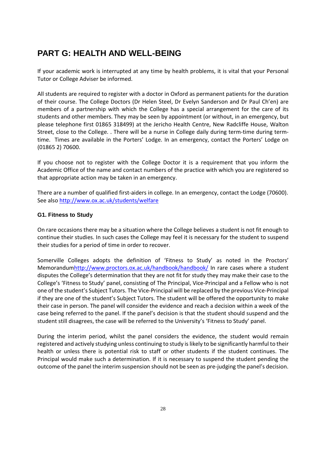# **PART G: HEALTH AND WELL-BEING**

If your academic work is interrupted at any time by health problems, it is vital that your Personal Tutor or College Adviser be informed.

All students are required to register with a doctor in Oxford as permanent patients for the duration of their course. The College Doctors (Dr Helen Steel, Dr Evelyn Sanderson and Dr Paul Ch'en) are members of a partnership with which the College has a special arrangement for the care of its students and other members. They may be seen by appointment (or without, in an emergency, but please telephone first 01865 318499) at the Jericho Health Centre, New Radcliffe House, Walton Street, close to the College. . There will be a nurse in College daily during term-time during termtime. Times are available in the Porters' Lodge. In an emergency, contact the Porters' Lodge on (01865 2) 70600.

If you choose not to register with the College Doctor it is a requirement that you inform the Academic Office of the name and contact numbers of the practice with which you are registered so that appropriate action may be taken in an emergency.

There are a number of qualified first-aiders in college. In an emergency, contact the Lodge (70600). See also http://www.ox.ac.uk/students/welfare

### **G1. Fitness to Study**

On rare occasions there may be a situation where the College believes a student is not fit enough to continue their studies. In such cases the College may feel it is necessary for the student to suspend their studies for a period of time in order to recover.

Somerville Colleges adopts the definition of 'Fitness to Study' as noted in the Proctors' Memorandumhttp://www.proctors.ox.ac.uk/handbook/handbook/ In rare cases where a student disputes the College's determination that they are not fit for study they may make their case to the College's 'Fitness to Study' panel, consisting of The Principal, Vice-Principal and a Fellow who is not one of the student's Subject Tutors. The Vice-Principal will be replaced by the previous Vice-Principal if they are one of the student's Subject Tutors. The student will be offered the opportunity to make their case in person. The panel will consider the evidence and reach a decision within a week of the case being referred to the panel. If the panel's decision is that the student should suspend and the student still disagrees, the case will be referred to the University's 'Fitness to Study' panel.

During the interim period, whilst the panel considers the evidence, the student would remain registered and actively studying unless continuing to study is likely to be significantly harmful to their health or unless there is potential risk to staff or other students if the student continues. The Principal would make such a determination. If it is necessary to suspend the student pending the outcome of the panel the interim suspension should not be seen as pre-judging the panel's decision.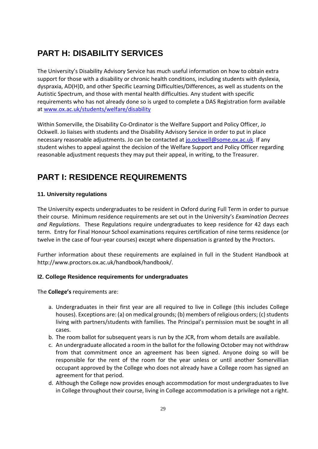# **PART H: DISABILITY SERVICES**

The University's Disability Advisory Service has much useful information on how to obtain extra support for those with a disability or chronic health conditions, including students with dyslexia, dyspraxia, AD(H)D, and other Specific Learning Difficulties/Differences, as well as students on the Autistic Spectrum, and those with mental health difficulties. Any student with specific requirements who has not already done so is urged to complete a DAS Registration form available at www.ox.ac.uk/students/welfare/disability

Within Somerville, the Disability Co-Ordinator is the Welfare Support and Policy Officer, Jo Ockwell. Jo liaises with students and the Disability Advisory Service in order to put in place necessary reasonable adjustments. Jo can be contacted at jo.ockwell@some.ox.ac.uk. If any student wishes to appeal against the decision of the Welfare Support and Policy Officer regarding reasonable adjustment requests they may put their appeal, in writing, to the Treasurer.

# **PART I: RESIDENCE REQUIREMENTS**

## **11. University regulations**

The University expects undergraduates to be resident in Oxford during Full Term in order to pursue their course. Minimum residence requirements are set out in the University's *Examination Decrees and Regulations*. These Regulations require undergraduates to keep residence for 42 days each term. Entry for Final Honour School examinations requires certification of nine terms residence (or twelve in the case of four-year courses) except where dispensation is granted by the Proctors.

Further information about these requirements are explained in full in the Student Handbook at http://www.proctors.ox.ac.uk/handbook/handbook/.

## **I2. College Residence requirements for undergraduates**

The **College's** requirements are:

- a. Undergraduates in their first year are all required to live in College (this includes College houses). Exceptions are: (a) on medical grounds; (b) members of religious orders; (c) students living with partners/students with families. The Principal's permission must be sought in all cases.
- b. The room ballot for subsequent years is run by the JCR, from whom details are available.
- c. An undergraduate allocated a room in the ballot for the following October may not withdraw from that commitment once an agreement has been signed. Anyone doing so will be responsible for the rent of the room for the year unless or until another Somervillian occupant approved by the College who does not already have a College room has signed an agreement for that period.
- d. Although the College now provides enough accommodation for most undergraduates to live in College throughout their course, living in College accommodation is a privilege not a right.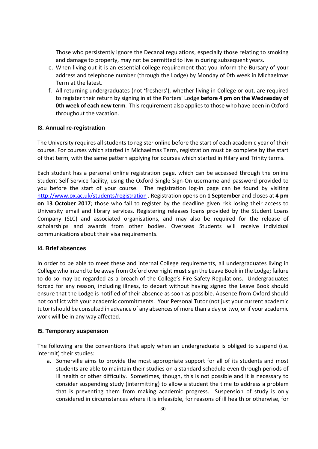Those who persistently ignore the Decanal regulations, especially those relating to smoking and damage to property, may not be permitted to live in during subsequent years.

- e. When living out it is an essential college requirement that you inform the Bursary of your address and telephone number (through the Lodge) by Monday of 0th week in Michaelmas Term at the latest.
- f. All returning undergraduates (not 'freshers'), whether living in College or out, are required to register their return by signing in at the Porters' Lodge **before 4 pm on the Wednesday of 0th week of each new term**. This requirement also applies to those who have been in Oxford throughout the vacation.

#### **I3. Annual re-registration**

The University requires all students to register online before the start of each academic year of their course. For courses which started in Michaelmas Term, registration must be complete by the start of that term, with the same pattern applying for courses which started in Hilary and Trinity terms.

Each student has a personal online registration page, which can be accessed through the online Student Self Service facility, using the Oxford Single Sign-On username and password provided to you before the start of your course. The registration log-in page can be found by visiting http://www.ox.ac.uk/students/registration . Registration opens on **1 September** and closes at **4 pm on 13 October 2017**; those who fail to register by the deadline given risk losing their access to University email and library services. Registering releases loans provided by the Student Loans Company (SLC) and associated organisations, and may also be required for the release of scholarships and awards from other bodies. Overseas Students will receive individual communications about their visa requirements.

#### **I4. Brief absences**

In order to be able to meet these and internal College requirements, all undergraduates living in College who intend to be away from Oxford overnight **must** sign the Leave Book in the Lodge; failure to do so may be regarded as a breach of the College's Fire Safety Regulations. Undergraduates forced for any reason, including illness, to depart without having signed the Leave Book should ensure that the Lodge is notified of their absence as soon as possible. Absence from Oxford should not conflict with your academic commitments. Your Personal Tutor (not just your current academic tutor) should be consulted in advance of any absences of more than a day or two, or if your academic work will be in any way affected.

#### **I5. Temporary suspension**

The following are the conventions that apply when an undergraduate is obliged to suspend (i.e. intermit) their studies:

a. Somerville aims to provide the most appropriate support for all of its students and most students are able to maintain their studies on a standard schedule even through periods of ill health or other difficulty. Sometimes, though, this is not possible and it is necessary to consider suspending study (intermitting) to allow a student the time to address a problem that is preventing them from making academic progress. Suspension of study is only considered in circumstances where it is infeasible, for reasons of ill health or otherwise, for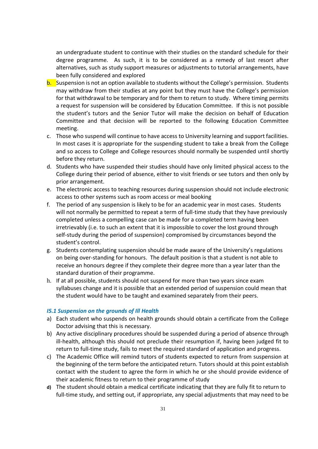an undergraduate student to continue with their studies on the standard schedule for their degree programme. As such, it is to be considered as a remedy of last resort after alternatives, such as study support measures or adjustments to tutorial arrangements, have been fully considered and explored

- b. Suspension is not an option available to students without the College's permission. Students may withdraw from their studies at any point but they must have the College's permission for that withdrawal to be temporary and for them to return to study. Where timing permits a request for suspension will be considered by Education Committee. If this is not possible the student's tutors and the Senior Tutor will make the decision on behalf of Education Committee and that decision will be reported to the following Education Committee meeting.
- c. Those who suspend will continue to have access to University learning and support facilities. In most cases it is appropriate for the suspending student to take a break from the College and so access to College and College resources should normally be suspended until shortly before they return.
- d. Students who have suspended their studies should have only limited physical access to the College during their period of absence, either to visit friends or see tutors and then only by prior arrangement.
- e. The electronic access to teaching resources during suspension should not include electronic access to other systems such as room access or meal booking
- f. The period of any suspension is likely to be for an academic year in most cases. Students will not normally be permitted to repeat a term of full-time study that they have previously completed unless a compelling case can be made for a completed term having been irretrievably (i.e. to such an extent that it is impossible to cover the lost ground through self-study during the period of suspension) compromised by circumstances beyond the student's control.
- g. Students contemplating suspension should be made aware of the University's regulations on being over-standing for honours. The default position is that a student is not able to receive an honours degree if they complete their degree more than a year later than the standard duration of their programme.
- h. If at all possible, students should not suspend for more than two years since exam syllabuses change and it is possible that an extended period of suspension could mean that the student would have to be taught and examined separately from their peers.

#### *I5.1 Suspension on the grounds of Ill Health*

- a) Each student who suspends on health grounds should obtain a certificate from the College Doctor advising that this is necessary.
- b) Any active disciplinary procedures should be suspended during a period of absence through ill-health, although this should not preclude their resumption if, having been judged fit to return to full-time study, fails to meet the required standard of application and progress.
- c) The Academic Office will remind tutors of students expected to return from suspension at the beginning of the term before the anticipated return. Tutors should at this point establish contact with the student to agree the form in which he or she should provide evidence of their academic fitness to return to their programme of study
- **d)** The student should obtain a medical certificate indicating that they are fully fit to return to full-time study, and setting out, if appropriate, any special adjustments that may need to be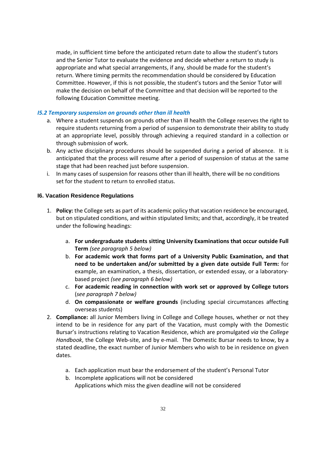made, in sufficient time before the anticipated return date to allow the student's tutors and the Senior Tutor to evaluate the evidence and decide whether a return to study is appropriate and what special arrangements, if any, should be made for the student's return. Where timing permits the recommendation should be considered by Education Committee. However, if this is not possible, the student's tutors and the Senior Tutor will make the decision on behalf of the Committee and that decision will be reported to the following Education Committee meeting.

#### *I5.2 Temporary suspension on grounds other than ill health*

- a. Where a student suspends on grounds other than ill health the College reserves the right to require students returning from a period of suspension to demonstrate their ability to study at an appropriate level, possibly through achieving a required standard in a collection or through submission of work.
- b. Any active disciplinary procedures should be suspended during a period of absence. It is anticipated that the process will resume after a period of suspension of status at the same stage that had been reached just before suspension.
- i. In many cases of suspension for reasons other than ill health, there will be no conditions set for the student to return to enrolled status.

#### **I6. Vacation Residence Regulations**

- 1. **Policy:** the College sets as part of its academic policy that vacation residence be encouraged, but on stipulated conditions, and within stipulated limits; and that, accordingly, it be treated under the following headings:
	- a. **For undergraduate students sitting University Examinations that occur outside Full Term** *(see paragraph 5 below)*
	- b. **For academic work that forms part of a University Public Examination, and that need to be undertaken and/or submitted by a given date outside Full Term:** for example, an examination, a thesis, dissertation, or extended essay, or a laboratorybased project *(see paragraph 6 below)*
	- c. **For academic reading in connection with work set or approved by College tutors** (*see paragraph 7 below)*
	- d. **On compassionate or welfare grounds** (including special circumstances affecting overseas students)
- 2. **Compliance:** all Junior Members living in College and College houses, whether or not they intend to be in residence for any part of the Vacation, must comply with the Domestic Bursar's instructions relating to Vacation Residence, which are promulgated *via* the *College Handbook*, the College Web-site, and by e-mail. The Domestic Bursar needs to know, by a stated deadline, the exact number of Junior Members who wish to be in residence on given dates.
	- a. Each application must bear the endorsement of the student's Personal Tutor
	- b. Incomplete applications will not be considered Applications which miss the given deadline will not be considered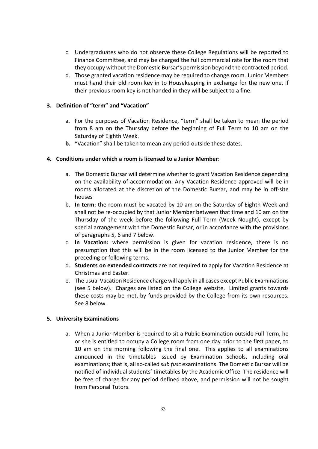- c. Undergraduates who do not observe these College Regulations will be reported to Finance Committee, and may be charged the full commercial rate for the room that they occupy without the Domestic Bursar's permission beyond the contracted period.
- d. Those granted vacation residence may be required to change room. Junior Members must hand their old room key in to Housekeeping in exchange for the new one. If their previous room key is not handed in they will be subject to a fine.

#### **3. Definition of "term" and "Vacation"**

- a. For the purposes of Vacation Residence, "term" shall be taken to mean the period from 8 am on the Thursday before the beginning of Full Term to 10 am on the Saturday of Eighth Week.
- **b.** "Vacation" shall be taken to mean any period outside these dates.

### **4. Conditions under which a room is licensed to a Junior Member**:

- a. The Domestic Bursar will determine whether to grant Vacation Residence depending on the availability of accommodation. Any Vacation Residence approved will be in rooms allocated at the discretion of the Domestic Bursar, and may be in off-site houses
- b. **In term:** the room must be vacated by 10 am on the Saturday of Eighth Week and shall not be re-occupied by that Junior Member between that time and 10 am on the Thursday of the week before the following Full Term (Week Nought), except by special arrangement with the Domestic Bursar, or in accordance with the provisions of paragraphs 5, 6 and 7 below.
- c. **In Vacation:** where permission is given for vacation residence, there is no presumption that this will be in the room licensed to the Junior Member for the preceding or following terms.
- d. **Students on extended contracts** are not required to apply for Vacation Residence at Christmas and Easter.
- e. The usual Vacation Residence charge will apply in all cases except Public Examinations (see 5 below). Charges are listed on the College website. Limited grants towards these costs may be met, by funds provided by the College from its own resources. See 8 below.

#### **5. University Examinations**

a. When a Junior Member is required to sit a Public Examination outside Full Term, he or she is entitled to occupy a College room from one day prior to the first paper, to 10 am on the morning following the final one. This applies to all examinations announced in the timetables issued by Examination Schools, including oral examinations; that is, all so-called *sub fusc* examinations. The Domestic Bursar will be notified of individual students' timetables by the Academic Office. The residence will be free of charge for any period defined above, and permission will not be sought from Personal Tutors.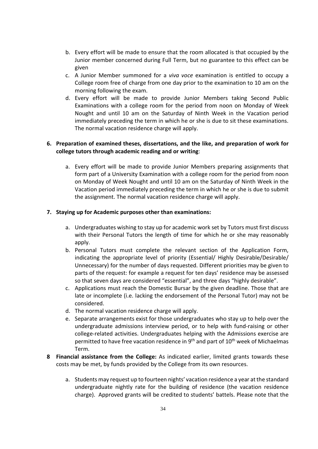- b. Every effort will be made to ensure that the room allocated is that occupied by the Junior member concerned during Full Term, but no guarantee to this effect can be given
- c. A Junior Member summoned for a *viva voce* examination is entitled to occupy a College room free of charge from one day prior to the examination to 10 am on the morning following the exam.
- d. Every effort will be made to provide Junior Members taking Second Public Examinations with a college room for the period from noon on Monday of Week Nought and until 10 am on the Saturday of Ninth Week in the Vacation period immediately preceding the term in which he or she is due to sit these examinations. The normal vacation residence charge will apply.

### **6. Preparation of examined theses, dissertations, and the like, and preparation of work for college tutors through academic reading and or writing**:

a. Every effort will be made to provide Junior Members preparing assignments that form part of a University Examination with a college room for the period from noon on Monday of Week Nought and until 10 am on the Saturday of Ninth Week in the Vacation period immediately preceding the term in which he or she is due to submit the assignment. The normal vacation residence charge will apply.

#### **7. Staying up for Academic purposes other than examinations:**

- a. Undergraduates wishing to stay up for academic work set by Tutors must first discuss with their Personal Tutors the length of time for which he or she may reasonably apply.
- b. Personal Tutors must complete the relevant section of the Application Form, indicating the appropriate level of priority (Essential/ Highly Desirable/Desirable/ Unnecessary) for the number of days requested. Different priorities may be given to parts of the request: for example a request for ten days' residence may be assessed so that seven days are considered "essential", and three days "highly desirable".
- c. Applications must reach the Domestic Bursar by the given deadline. Those that are late or incomplete (i.e. lacking the endorsement of the Personal Tutor) may not be considered.
- d. The normal vacation residence charge will apply.
- e. Separate arrangements exist for those undergraduates who stay up to help over the undergraduate admissions interview period, or to help with fund-raising or other college-related activities. Undergraduates helping with the Admissions exercise are permitted to have free vacation residence in  $9<sup>th</sup>$  and part of  $10<sup>th</sup>$  week of Michaelmas Term.
- **8 Financial assistance from the College:** As indicated earlier, limited grants towards these costs may be met, by funds provided by the College from its own resources.
	- a. Students may request up to fourteen nights' vacation residence a year at the standard undergraduate nightly rate for the building of residence (the vacation residence charge). Approved grants will be credited to students' battels. Please note that the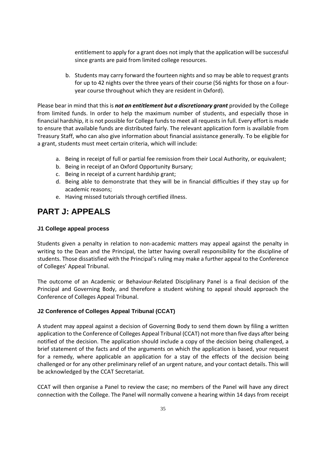entitlement to apply for a grant does not imply that the application will be successful since grants are paid from limited college resources.

b. Students may carry forward the fourteen nights and so may be able to request grants for up to 42 nights over the three years of their course (56 nights for those on a fouryear course throughout which they are resident in Oxford).

Please bear in mind that this is *not an entitlement but a discretionary grant* provided by the College from limited funds. In order to help the maximum number of students, and especially those in financial hardship, it is not possible for College funds to meet all requests in full. Every effort is made to ensure that available funds are distributed fairly. The relevant application form is available from Treasury Staff, who can also give information about financial assistance generally. To be eligible for a grant, students must meet certain criteria, which will include:

- a. Being in receipt of full or partial fee remission from their Local Authority, or equivalent;
- b. Being in receipt of an Oxford Opportunity Bursary;
- c. Being in receipt of a current hardship grant;
- d. Being able to demonstrate that they will be in financial difficulties if they stay up for academic reasons;
- e. Having missed tutorials through certified illness.

# **PART J: APPEALS**

#### **J1 College appeal process**

Students given a penalty in relation to non-academic matters may appeal against the penalty in writing to the Dean and the Principal, the latter having overall responsibility for the discipline of students. Those dissatisfied with the Principal's ruling may make a further appeal to the Conference of Colleges' Appeal Tribunal.

The outcome of an Academic or Behaviour-Related Disciplinary Panel is a final decision of the Principal and Governing Body, and therefore a student wishing to appeal should approach the Conference of Colleges Appeal Tribunal.

## **J2 Conference of Colleges Appeal Tribunal (CCAT)**

A student may appeal against a decision of Governing Body to send them down by filing a written application to the Conference of Colleges Appeal Tribunal (CCAT) not more than five days after being notified of the decision. The application should include a copy of the decision being challenged, a brief statement of the facts and of the arguments on which the application is based, your request for a remedy, where applicable an application for a stay of the effects of the decision being challenged or for any other preliminary relief of an urgent nature, and your contact details. This will be acknowledged by the CCAT Secretariat.

CCAT will then organise a Panel to review the case; no members of the Panel will have any direct connection with the College. The Panel will normally convene a hearing within 14 days from receipt